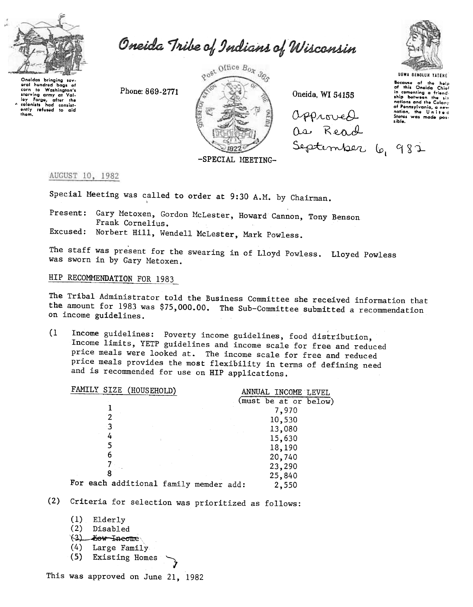

Oneida Tribe of Indians of Wisconsin

Oneidas bringing sev oneidas bringing suv-<br>eral hundred bags of corn to Washington's<br>starving army at Valley Forge, after the<br>colonists had consistently refused to aid<br>them. Post Office Box 383

-SPECIAL MEETING-

Oneida, WI 54155

Opproved as Read September 6, 982



Bocause of the help<br>of this Oneida Chief in comenting a friend - six nations and the Colony of Pennsylvania, a new nation, the United<br>States was made possible.

## AUGUST 10, 1982

Special Meeting was called to order at 9:30 A.M. by Chairman.

Present: Gary Metoxen, Gordon McLester, Howard Cannon, Tony Benson Frank Cornelius.

Excused: Norbert Hill, Wendell McLester, Mark Powless.

Phone: 869-2771

The staff was present for the swearing in of Lloyd Powless. Lloyed Powless was sworn in by Gary Metoxen.

# HIP RECOMMENDATION FOR 1983

The Tribal Administrator told the Business Committee she received information that the amount for 1983 was \$75,000.00. The Sub-Committee submitted a recommendation on income guidelines.

 $(1)$ Income guidelines: Poverty income guidelines, food distribution, Income limits, YETP guidelines and income scale for free and reduced price meals were looked at. The income scale for free and reduced price meals provides the most flexibility in terms of defining need and is recommended for use on HIP applications.

| FAMILY SIZE (HOUSEHOLD)                | ANNUAL INCOME LEVEL   |
|----------------------------------------|-----------------------|
|                                        | (must be at or below) |
|                                        | 7,970                 |
|                                        | 10,530                |
| -3                                     | 13,080                |
|                                        | 15,630                |
|                                        | 18,190                |
|                                        | 20,740                |
|                                        | 23,290                |
|                                        | 25,840                |
| For each additional family memder add: | 2.550                 |

(2) Criteria for selection was prioritized as follows:

 $(1)$ Elderly  $(2)$ Disabled (3) Kow Income  $(4)$ Large Family  $(5)$ Existing Homes

This was approved on June 21, 1982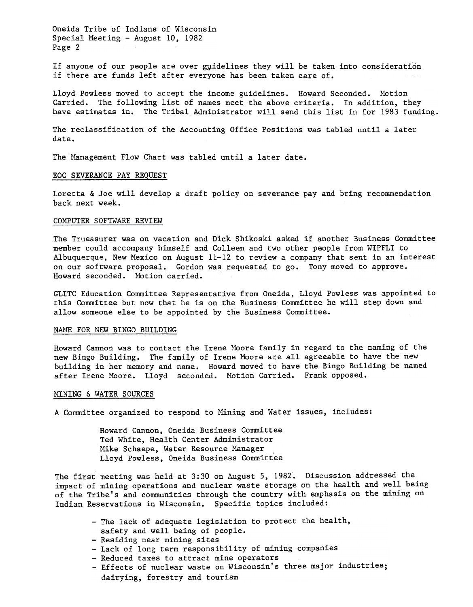Oneida Tribe of Indians of Wisconsin Special Meeting - August 10, 1982 Page 2

If anyone of our people are over guidelines they will be taken into consideration if there are funds left after everyone has been taken care of.

Lloyd Powless moved to accept the income guidelines. Howard Seconded. Motion Carried. The following list of names meet the above criteria. In addition, they have estimates in. The Tribal Administrator will send this list in for 1983 funding.

The reclassification of the Accounting Office Positions was tabled until a later date.

The Management Flow Chart was tabled until a later date.

#### EOC SEVERANCE PAY REQUEST

Loretta & Joe will develop a draft policy on severance pay and bring recommendation back next week.

#### COMPUTER SOFTWARE REVIEW

The Trueasurer was on vacation and Dick Shikoski asked if another Business Committee member could accompany himself and Colleen and two other people from WIPFLI to Albuquerque, New Mexico on August 11-12 to review a company that sent in an interest on our software proposal. Gordon was requested to go. Tony moved to approve. Howard seconded. Motion carried.

GLITC Education Committee Representative from Oneida, Lloyd Powless was appointed to this Committee but now that he is on the Business Committee he will step down and allow someone else to be appointed by the Business Committee.

### NAME FOR NEW BINGO BUILDING

Howard Cannon was to contact the Irene Moore family in regard to the naming of the new Bingo Building. The family of Irene MOore are all agreeable to have the new building in her memory and name. Howard moved to have the Bingo Building be named after Irene MOore. Lloyd seconded. Motion Carried. Frank opposed.

#### MINING & WATER SOURCES

A Committee organized to respond to Mining and Water issues, includes:

Howard Cannon, Oneida Business Committee Ted White, Health Center Administrator Mike Schaepe, Water Resource Manager Lloyd Powless, Oneida Business Committee

The first meeting was held at 3:30 on August 5, 1982. Discussion addressed the impact of mining operations and nuclear waste storage on the health and well being of the Tribe's and communities through the country with emphasis on the mining on Indian Reservations in Wisconsin. Specific topics included:

- -The lack of adequate legislation to protect the health,
- safety and well being of people.
- -Residing near mining sites
- Lack of long term responsibility of mining companies
- -Reduced taxes to attract mine operators
- -Effects of nuclear waste on Wisconsin's three major industries; dairying, forestry and tourism